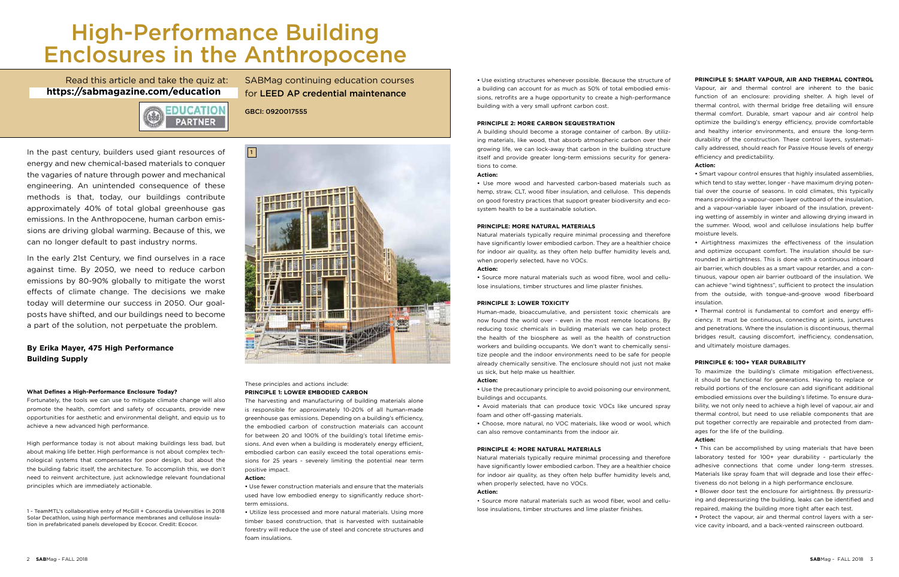# High-Performance Building Enclosures in the Anthropocene

EDUCATION **PARTNER** 

SABMag continuing education courses for LEED AP credential maintenance

GBCI: 0920017555

In the past century, builders used giant resources of energy and new chemical-based materials to conquer the vagaries of nature through power and mechanical engineering. An unintended consequence of these methods is that, today, our buildings contribute approximately 40% of total global greenhouse gas emissions. In the Anthropocene, human carbon emissions are driving global warming. Because of this, we can no longer default to past industry norms.

In the early 21st Century, we find ourselves in a race against time. By 2050, we need to reduce carbon emissions by 80-90% globally to mitigate the worst effects of climate change. The decisions we make today will determine our success in 2050. Our goalposts have shifted, and our buildings need to become a part of the solution, not perpetuate the problem.

# **By Erika Mayer, 475 High Performance Building Supply**

## **What Defines a High-Performance Enclosure Today?**

Fortunately, the tools we can use to mitigate climate change will also promote the health, comfort and safety of occupants, provide new opportunities for aesthetic and environmental delight, and equip us to achieve a new advanced high performance.

High performance today is not about making buildings less bad, but about making life better. High performance is not about complex technological systems that compensates for poor design, but about the the building fabric itself, the architecture. To accomplish this, we don't need to reinvent architecture, just acknowledge relevant foundational principles which are immediately actionable.

#### These principles and actions include: **PRINCIPLE 1: LOWER EMBODIED CARBON**

The harvesting and manufacturing of building materials alone is responsible for approximately 10-20% of all human-made greenhouse gas emissions. Depending on a building's efficiency, the embodied carbon of construction materials can account for between 20 and 100% of the building's total lifetime emissions. And even when a building is moderately energy efficient, embodied carbon can easily exceed the total operations emissions for 25 years - severely limiting the potential near term positive impact.

#### **Action:**

**•** Use fewer construction materials and ensure that the materials used have low embodied energy to significantly reduce shortterm emissions.

**•** Utilize less processed and more natural materials. Using more timber based construction, that is harvested with sustainable forestry will reduce the use of steel and concrete structures and foam insulations.

**•** Use existing structures whenever possible. Because the structure of a building can account for as much as 50% of total embodied emissions, retrofits are a huge opportunity to create a high-performance building with a very small upfront carbon cost.

## **PRINCIPLE 2: MORE CARBON SEQUESTRATION**

A building should become a storage container of carbon. By utilizing materials, like wood, that absorb atmospheric carbon over their growing life, we can lock-away that carbon in the building structure itself and provide greater long-term emissions security for generations to come.

#### **Action:**

**•** Use more wood and harvested carbon-based materials such as hemp, straw, CLT, wood fiber insulation, and cellulose. This depends on good forestry practices that support greater biodiversity and ecosystem health to be a sustainable solution.

## **PRINCIPLE: MORE NATURAL MATERIALS**

Natural materials typically require minimal processing and therefore have significantly lower embodied carbon. They are a healthier choice for indoor air quality, as they often help buffer humidity levels and, when properly selected, have no VOCs.

# **Action:**

**•** Source more natural materials such as wood fibre, wool and cellulose insulations, timber structures and lime plaster finishes.

#### **PRINCIPLE 3: LOWER TOXICITY**

Read this article and take the quiz at: http://sabmagazine-education.com **https://sabmagazine.com/education**

> Human-made, bioaccumulative, and persistent toxic chemicals are now found the world over - even in the most remote locations. By reducing toxic chemicals in building materials we can help protect the health of the biosphere as well as the health of construction workers and building occupants. We don't want to chemically sensitize people and the indoor environments need to be safe for people already chemically sensitive. The enclosure should not just not make us sick, but help make us healthier.

#### **Action:**

**•** Use the precautionary principle to avoid poisoning our environment, buildings and occupants.

**•** Avoid materials that can produce toxic VOCs like uncured spray foam and other off-gassing materials.

**•** Choose, more natural, no VOC materials, like wood or wool, which can also remove contaminants from the indoor air.

# **PRINCIPLE 4: MORE NATURAL MATERIALS**

Natural materials typically require minimal processing and therefore have significantly lower embodied carbon. They are a healthier choice for indoor air quality, as they often help buffer humidity levels and, when properly selected, have no VOCs.

# **Action:**

• Source more natural materials such as wood fiber, wool and cellulose insulations, timber structures and lime plaster finishes.



# **PRINCIPLE 5: SMART VAPOUR, AIR AND THERMAL CONTROL**

Vapour, air and thermal control are inherent to the basic function of an enclosure: providing shelter. A high level of thermal control, with thermal bridge free detailing will ensure thermal comfort. Durable, smart vapour and air control help optimize the building's energy efficiency, provide comfortable and healthy interior environments, and ensure the long-term durability of the construction. These control layers, systematically addressed, should reach for Passive House levels of energy efficiency and predictability.

## **Action:**

**•** Smart vapour control ensures that highly insulated assemblies, which tend to stay wetter, longer - have maximum drying potential over the course of seasons. In cold climates, this typically means providing a vapour-open layer outboard of the insulation, and a vapour-variable layer inboard of the insulation, preventing wetting of assembly in winter and allowing drying inward in the summer. Wood, wool and cellulose insulations help buffer moisture levels.

**•** Airtightness maximizes the effectiveness of the insulation and optimize occupant comfort. The insulation should be surrounded in airtightness. This is done with a continuous inboard air barrier, which doubles as a smart vapour retarder, and a continuous, vapour open air barrier outboard of the insulation. We can achieve "wind tightness", sufficient to protect the insulation from the outside, with tongue-and-groove wood fiberboard insulation.

**•** Thermal control is fundamental to comfort and energy efficiency. It must be continuous, connecting at joints, junctures and penetrations. Where the insulation is discontinuous, thermal bridges result, causing discomfort, inefficiency, condensation, and ultimately moisture damages.

#### **PRINCIPLE 6: 100+ YEAR DURABILITY**

To maximize the building's climate mitigation effectiveness, it should be functional for generations. Having to replace or rebuild portions of the enclosure can add significant additional embodied emissions over the building's lifetime. To ensure durability, we not only need to achieve a high level of vapour, air and thermal control, but need to use reliable components that are put together correctly are repairable and protected from damages for the life of the building.

#### **Action:**

**•** This can be accomplished by using materials that have been laboratory tested for 100+ year durability - particularly the adhesive connections that come under long-term stresses. Materials like spray foam that will degrade and lose their effectiveness do not belong in a high performance enclosure.

**•** Blower door test the enclosure for airtightness. By pressurizing and depressurizing the building, leaks can be identified and repaired, making the building more tight after each test.

**•** Protect the vapour, air and thermal control layers with a service cavity inboard, and a back-vented rainscreen outboard.

1 - TeamMTL's collaborative entry of McGill + Concordia Universities in 2018 Solar Decathlon, using high performance membranes and cellulose insulation in prefabricated panels developed by Ecocor. Credit: Ecocor.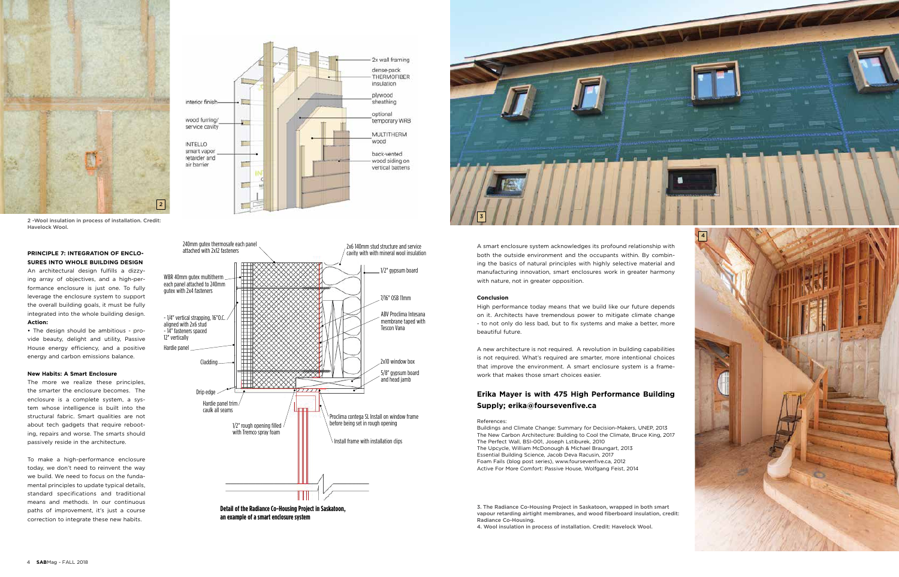



## **PRINCIPLE 7: INTEGRATION OF ENCLO-SURES INTO WHOLE BUILDING DESIGN**

An architectural design fulfills a dizzying array of objectives, and a high-performance enclosure is just one. To fully leverage the enclosure system to support the overall building goals, it must be fully integrated into the whole building design. **Action:**

**•** The design should be ambitious - provide beauty, delight and utility, Passive House energy efficiency, and a positive energy and carbon emissions balance.

## **New Habits: A Smart Enclosure**

The more we realize these principles, the smarter the enclosure becomes. The enclosure is a complete system, a system whose intelligence is built into the structural fabric. Smart qualities are not about tech gadgets that require rebooting, repairs and worse. The smarts should passively reside in the architecture.

To make a high-performance enclosure today, we don't need to reinvent the way we build. We need to focus on the fundamental principles to update typical details, standard specifications and traditional means and methods. In our continuous paths of improvement, it's just a course correction to integrate these new habits.







A smart enclosure system acknowledges its profound relationship with both the outside environment and the occupants within. By combining the basics of natural principles with highly selective material and manufacturing innovation, smart enclosures work in greater harmony with nature, not in greater opposition.

## **Conclusion**

High performance today means that we build like our future depends on it. Architects have tremendous power to mitigate climate change - to not only do less bad, but to fix systems and make a better, more beautiful future.

A new architecture is not required. A revolution in building capabilities is not required. What's required are smarter, more intentional choices that improve the environment. A smart enclosure system is a framework that makes those smart choices easier.

# **Erika Mayer is with 475 High Performance Building Supply; erika@foursevenfive.ca**

References:

Buildings and Climate Change: Summary for Decision-Makers, UNEP, 2013 The New Carbon Architecture: Building to Cool the Climate, Bruce King, 2017 The Perfect Wall, BSI-001, Joseph Lstiburek, 2010 The Upcycle, William McDonough & Michael Braungart, 2013 Essential Building Science, Jacob Deva Racusin, 2017 Foam Fails (blog post series), www.foursevenfive.ca, 2012 Active For More Comfort: Passive House, Wolfgang Feist, 2014

3. The Radiance Co-Housing Project in Saskatoon, wrapped in both smart vapour retarding airtight membranes, and wood fiberboard insulation, credit: Radiance Co-Housing.



2 -Wool insulation in process of installation. Credit: Havelock Wool.

4. Wool insulation in process of installation. Credit: Havelock Wool.